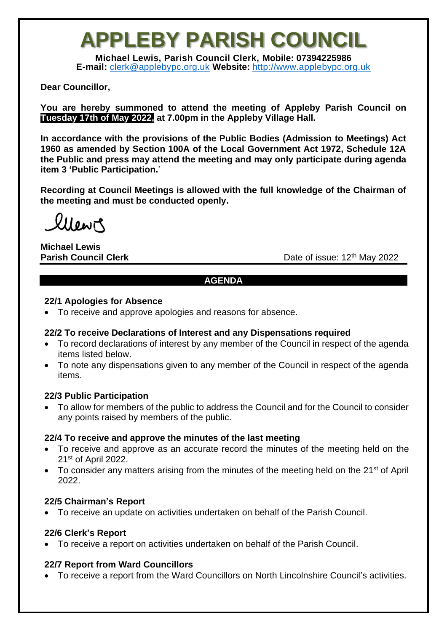## **APPLEBY PARISH COUNCIL**

**Michael Lewis, Parish Council Clerk, Mobile: 07394225986 E-mail:** [clerk@applebypc.org.uk](mailto:clerk@applebypc.org.uk) **Website:** [http://www.applebypc.org.uk](http://www.applebypc.org.uk/)

#### **Dear Councillor,**

**You are hereby summoned to attend the meeting of Appleby Parish Council on Tuesday 17th of May 2022, at 7.00pm in the Appleby Village Hall.**

**In accordance with the provisions of the Public Bodies (Admission to Meetings) Act 1960 as amended by Section 100A of the Local Government Act 1972, Schedule 12A the Public and press may attend the meeting and may only participate during agenda item 3 'Public Participation.**'

**Recording at Council Meetings is allowed with the full knowledge of the Chairman of the meeting and must be conducted openly.**

llewir

**Michael Lewis Parish Council Clerk** 

Date of issue: 12<sup>th</sup> May 2022

#### **AGENDA**

#### **22/1 Apologies for Absence**

• To receive and approve apologies and reasons for absence.

#### **22/2 To receive Declarations of Interest and any Dispensations required**

- To record declarations of interest by any member of the Council in respect of the agenda items listed below.
- To note any dispensations given to any member of the Council in respect of the agenda items.

#### **22/3 Public Participation**

• To allow for members of the public to address the Council and for the Council to consider any points raised by members of the public.

#### **22/4 To receive and approve the minutes of the last meeting**

- To receive and approve as an accurate record the minutes of the meeting held on the 21st of April 2022.
- To consider any matters arising from the minutes of the meeting held on the 21<sup>st</sup> of April 2022.

#### **22/5 Chairman's Report**

• To receive an update on activities undertaken on behalf of the Parish Council.

#### **22/6 Clerk's Report**

• To receive a report on activities undertaken on behalf of the Parish Council.

## **22/7 Report from Ward Councillors**

• To receive a report from the Ward Councillors on North Lincolnshire Council's activities.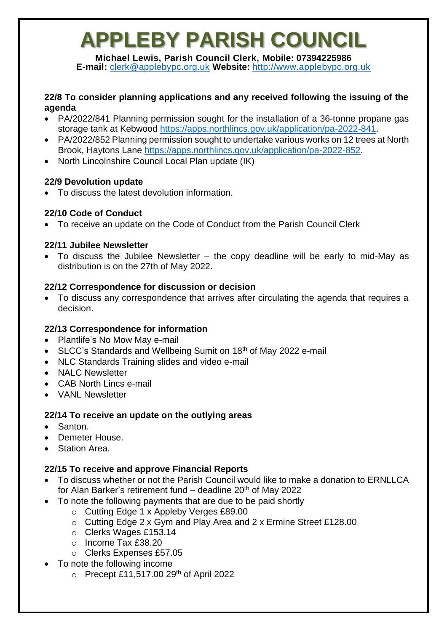# **APPLEBY PARISH COUNCIL**

**Michael Lewis, Parish Council Clerk, Mobile: 07394225986 E-mail:** [clerk@applebypc.org.uk](mailto:clerk@applebypc.org.uk) **Website:** [http://www.applebypc.org.uk](http://www.applebypc.org.uk/)

#### **22/8 To consider planning applications and any received following the issuing of the agenda**

- PA/2022/841 Planning permission sought for the installation of a 36-tonne propane gas storage tank at Kebwood [https://apps.northlincs.gov.uk/application/pa-2022-841.](https://apps.northlincs.gov.uk/application/pa-2022-841)
- PA/2022/852 Planning permission sought to undertake various works on 12 trees at North Brook, Haytons Lane [https://apps.northlincs.gov.uk/application/pa-2022-852.](https://apps.northlincs.gov.uk/application/pa-2022-852)
- North Lincolnshire Council Local Plan update (IK)

## **22/9 Devolution update**

• To discuss the latest devolution information.

## **22/10 Code of Conduct**

• To receive an update on the Code of Conduct from the Parish Council Clerk

## **22/11 Jubilee Newsletter**

• To discuss the Jubilee Newsletter – the copy deadline will be early to mid-May as distribution is on the 27th of May 2022.

## **22/12 Correspondence for discussion or decision**

• To discuss any correspondence that arrives after circulating the agenda that requires a decision.

## **22/13 Correspondence for information**

- Plantlife's No Mow May e-mail
- SLCC's Standards and Wellbeing Sumit on 18<sup>th</sup> of May 2022 e-mail
- NLC Standards Training slides and video e-mail
- NALC Newsletter
- CAB North Lincs e-mail
- VANL Newsletter

## **22/14 To receive an update on the outlying areas**

- Santon.
- Demeter House.
- **Station Area.**

## **22/15 To receive and approve Financial Reports**

- To discuss whether or not the Parish Council would like to make a donation to ERNLLCA for Alan Barker's retirement fund  $-$  deadline 20<sup>th</sup> of May 2022
- To note the following payments that are due to be paid shortly
	- o Cutting Edge 1 x Appleby Verges £89.00
	- o Cutting Edge 2 x Gym and Play Area and 2 x Ermine Street £128.00
	- o Clerks Wages £153.14
	- o Income Tax £38.20
	- o Clerks Expenses £57.05
- To note the following income
	- $\circ$  Precept £11,517.00 29<sup>th</sup> of April 2022